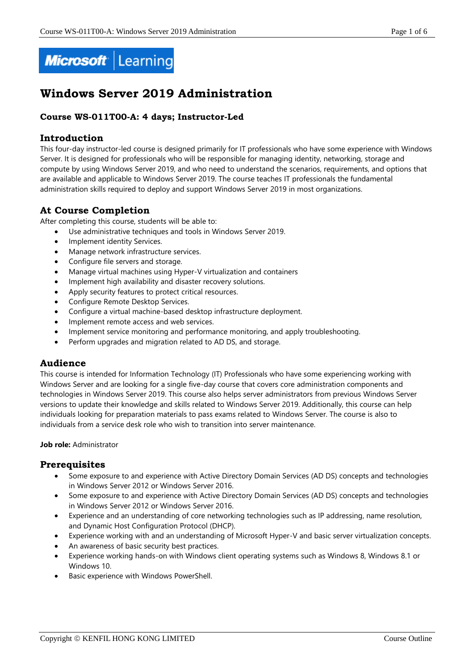

# **Windows Server 2019 Administration**

# **Course WS-011T00-A: 4 days; Instructor-Led**

# **Introduction**

This four-day instructor-led course is designed primarily for IT professionals who have some experience with Windows Server. It is designed for professionals who will be responsible for managing identity, networking, storage and compute by using Windows Server 2019, and who need to understand the scenarios, requirements, and options that are available and applicable to Windows Server 2019. The course teaches IT professionals the fundamental administration skills required to deploy and support Windows Server 2019 in most organizations.

# **At Course Completion**

After completing this course, students will be able to:

- Use administrative techniques and tools in Windows Server 2019.
- Implement identity Services.
- Manage network infrastructure services.
- Configure file servers and storage.
- Manage virtual machines using Hyper-V virtualization and containers
- Implement high availability and disaster recovery solutions.
- Apply security features to protect critical resources.
- Configure Remote Desktop Services.
- Configure a virtual machine-based desktop infrastructure deployment.
- Implement remote access and web services.
- Implement service monitoring and performance monitoring, and apply troubleshooting.
- Perform upgrades and migration related to AD DS, and storage.

# **Audience**

This course is intended for Information Technology (IT) Professionals who have some experiencing working with Windows Server and are looking for a single five-day course that covers core administration components and technologies in Windows Server 2019. This course also helps server administrators from previous Windows Server versions to update their knowledge and skills related to Windows Server 2019. Additionally, this course can help individuals looking for preparation materials to pass exams related to Windows Server. The course is also to individuals from a service desk role who wish to transition into server maintenance.

#### **Job role:** Administrator

# **Prerequisites**

- Some exposure to and experience with Active Directory Domain Services (AD DS) concepts and technologies in Windows Server 2012 or Windows Server 2016.
- Some exposure to and experience with Active Directory Domain Services (AD DS) concepts and technologies in Windows Server 2012 or Windows Server 2016.
- Experience and an understanding of core networking technologies such as IP addressing, name resolution, and Dynamic Host Configuration Protocol (DHCP).
- Experience working with and an understanding of Microsoft Hyper-V and basic server virtualization concepts.
- An awareness of basic security best practices.
- Experience working hands-on with Windows client operating systems such as Windows 8, Windows 8.1 or Windows 10.
- Basic experience with Windows PowerShell.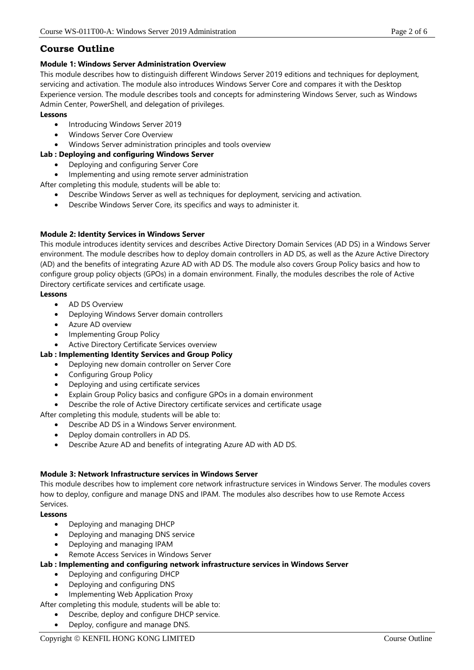# **Course Outline**

# **Module 1: Windows Server Administration Overview**

This module describes how to distinguish different Windows Server 2019 editions and techniques for deployment, servicing and activation. The module also introduces Windows Server Core and compares it with the Desktop Experience version. The module describes tools and concepts for adminstering Windows Server, such as Windows Admin Center, PowerShell, and delegation of privileges.

# **Lessons**

- Introducing Windows Server 2019
- Windows Server Core Overview
- Windows Server administration principles and tools overview

# **Lab : Deploying and configuring Windows Server**

- Deploying and configuring Server Core
- Implementing and using remote server administration

After completing this module, students will be able to:

- Describe Windows Server as well as techniques for deployment, servicing and activation.
- Describe Windows Server Core, its specifics and ways to administer it.

# **Module 2: Identity Services in Windows Server**

This module introduces identity services and describes Active Directory Domain Services (AD DS) in a Windows Server environment. The module describes how to deploy domain controllers in AD DS, as well as the Azure Active Directory (AD) and the benefits of integrating Azure AD with AD DS. The module also covers Group Policy basics and how to configure group policy objects (GPOs) in a domain environment. Finally, the modules describes the role of Active Directory certificate services and certificate usage.

# **Lessons**

- AD DS Overview
- Deploying Windows Server domain controllers
- Azure AD overview
- Implementing Group Policy
- Active Directory Certificate Services overview

# **Lab : Implementing Identity Services and Group Policy**

- Deploying new domain controller on Server Core
- Configuring Group Policy
- Deploying and using certificate services
- Explain Group Policy basics and configure GPOs in a domain environment
- Describe the role of Active Directory certificate services and certificate usage
- After completing this module, students will be able to:
	- Describe AD DS in a Windows Server environment.
	- Deploy domain controllers in AD DS.
	- Describe Azure AD and benefits of integrating Azure AD with AD DS.

# **Module 3: Network Infrastructure services in Windows Server**

This module describes how to implement core network infrastructure services in Windows Server. The modules covers how to deploy, configure and manage DNS and IPAM. The modules also describes how to use Remote Access Services.

# **Lessons**

- Deploying and managing DHCP
- Deploying and managing DNS service
- Deploying and managing IPAM
- Remote Access Services in Windows Server

# **Lab : Implementing and configuring network infrastructure services in Windows Server**

- Deploying and configuring DHCP
- Deploying and configuring DNS
- Implementing Web Application Proxy

After completing this module, students will be able to:

- Describe, deploy and configure DHCP service.
- Deploy, configure and manage DNS.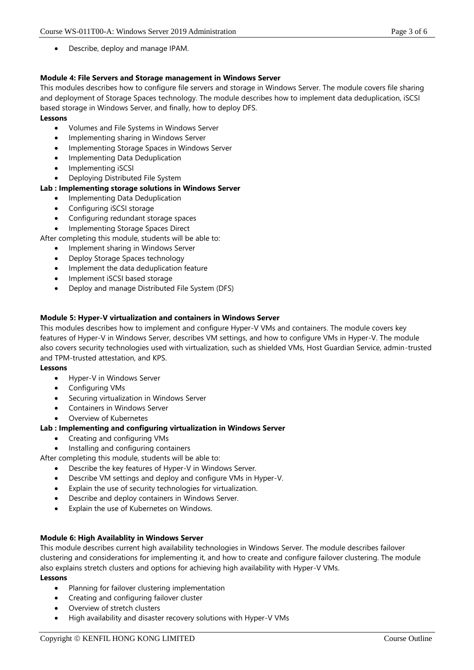Describe, deploy and manage IPAM.

#### **Module 4: File Servers and Storage management in Windows Server**

This modules describes how to configure file servers and storage in Windows Server. The module covers file sharing and deployment of Storage Spaces technology. The module describes how to implement data deduplication, iSCSI based storage in Windows Server, and finally, how to deploy DFS.

#### **Lessons**

- Volumes and File Systems in Windows Server
- Implementing sharing in Windows Server
- Implementing Storage Spaces in Windows Server
- Implementing Data Deduplication
- Implementing iSCSI
- Deploying Distributed File System

#### **Lab : Implementing storage solutions in Windows Server**

- Implementing Data Deduplication
- Configuring iSCSI storage
- Configuring redundant storage spaces
- Implementing Storage Spaces Direct

After completing this module, students will be able to:

- Implement sharing in Windows Server
- Deploy Storage Spaces technology
- Implement the data deduplication feature
- Implement iSCSI based storage
- Deploy and manage Distributed File System (DFS)

#### **Module 5: Hyper-V virtualization and containers in Windows Server**

This modules describes how to implement and configure Hyper-V VMs and containers. The module covers key features of Hyper-V in Windows Server, describes VM settings, and how to configure VMs in Hyper-V. The module also covers security technologies used with virtualization, such as shielded VMs, Host Guardian Service, admin-trusted and TPM-trusted attestation, and KPS.

#### **Lessons**

- Hyper-V in Windows Server
- Configuring VMs
- Securing virtualization in Windows Server
- Containers in Windows Server
- Overview of Kubernetes

#### **Lab : Implementing and configuring virtualization in Windows Server**

- Creating and configuring VMs
- Installing and configuring containers

After completing this module, students will be able to:

- Describe the key features of Hyper-V in Windows Server.
- Describe VM settings and deploy and configure VMs in Hyper-V.
- Explain the use of security technologies for virtualization.
- Describe and deploy containers in Windows Server.
- Explain the use of Kubernetes on Windows.

#### **Module 6: High Availablity in Windows Server**

This module describes current high availability technologies in Windows Server. The module describes failover clustering and considerations for implementing it, and how to create and configure failover clustering. The module also explains stretch clusters and options for achieving high availability with Hyper-V VMs.

#### **Lessons**

- Planning for failover clustering implementation
- Creating and configuring failover cluster
- Overview of stretch clusters
- High availability and disaster recovery solutions with Hyper-V VMs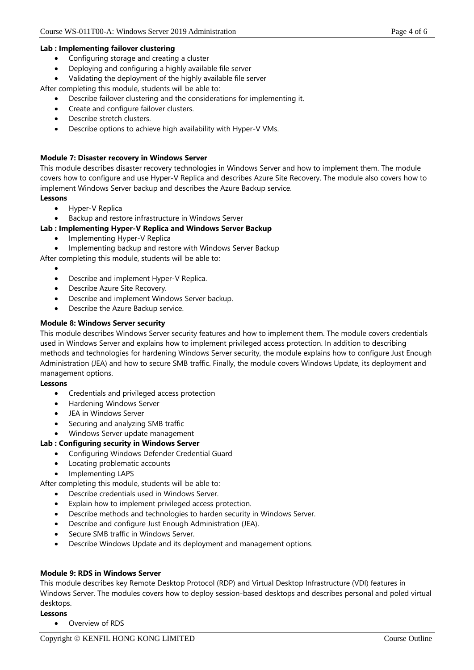#### **Lab : Implementing failover clustering**

- Configuring storage and creating a cluster
- Deploying and configuring a highly available file server
- Validating the deployment of the highly available file server

After completing this module, students will be able to:

- Describe failover clustering and the considerations for implementing it.
- Create and configure failover clusters.
- Describe stretch clusters.
- Describe options to achieve high availability with Hyper-V VMs.

#### **Module 7: Disaster recovery in Windows Server**

This module describes disaster recovery technologies in Windows Server and how to implement them. The module covers how to configure and use Hyper-V Replica and describes Azure Site Recovery. The module also covers how to implement Windows Server backup and describes the Azure Backup service.

#### **Lessons**

- Hyper-V Replica
- Backup and restore infrastructure in Windows Server

#### **Lab : Implementing Hyper-V Replica and Windows Server Backup**

- Implementing Hyper-V Replica
- Implementing backup and restore with Windows Server Backup

After completing this module, students will be able to:

- $\bullet$
- Describe and implement Hyper-V Replica.
- Describe Azure Site Recovery.
- Describe and implement Windows Server backup.
- Describe the Azure Backup service.

#### **Module 8: Windows Server security**

This module describes Windows Server security features and how to implement them. The module covers credentials used in Windows Server and explains how to implement privileged access protection. In addition to describing methods and technologies for hardening Windows Server security, the module explains how to configure Just Enough Administration (JEA) and how to secure SMB traffic. Finally, the module covers Windows Update, its deployment and management options.

#### **Lessons**

- Credentials and privileged access protection
- Hardening Windows Server
- JEA in Windows Server
- Securing and analyzing SMB traffic
- Windows Server update management

# **Lab : Configuring security in Windows Server**

- Configuring Windows Defender Credential Guard
- Locating problematic accounts
- Implementing LAPS

#### After completing this module, students will be able to:

- Describe credentials used in Windows Server.
- Explain how to implement privileged access protection.
- Describe methods and technologies to harden security in Windows Server.
- Describe and configure Just Enough Administration (JEA).
- Secure SMB traffic in Windows Server.
- Describe Windows Update and its deployment and management options.

#### **Module 9: RDS in Windows Server**

This module describes key Remote Desktop Protocol (RDP) and Virtual Desktop Infrastructure (VDI) features in Windows Server. The modules covers how to deploy session-based desktops and describes personal and poled virtual desktops.

# **Lessons**

Overview of RDS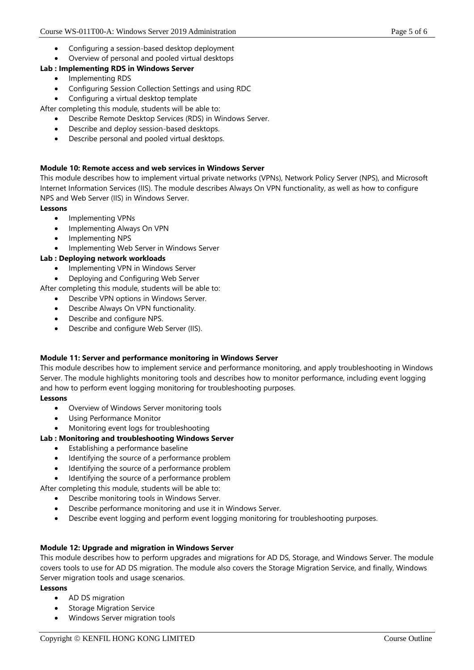- Configuring a session-based desktop deployment
- Overview of personal and pooled virtual desktops

# **Lab : Implementing RDS in Windows Server**

- Implementing RDS
- Configuring Session Collection Settings and using RDC
- Configuring a virtual desktop template

After completing this module, students will be able to:

- Describe Remote Desktop Services (RDS) in Windows Server.
- Describe and deploy session-based desktops.
- Describe personal and pooled virtual desktops.

# **Module 10: Remote access and web services in Windows Server**

This module describes how to implement virtual private networks (VPNs), Network Policy Server (NPS), and Microsoft Internet Information Services (IIS). The module describes Always On VPN functionality, as well as how to configure NPS and Web Server (IIS) in Windows Server.

**Lessons**

- Implementing VPNs
- Implementing Always On VPN
- Implementing NPS
- Implementing Web Server in Windows Server

# **Lab : Deploying network workloads**

- Implementing VPN in Windows Server
- Deploying and Configuring Web Server

After completing this module, students will be able to:

- Describe VPN options in Windows Server.
- Describe Always On VPN functionality.
- Describe and configure NPS.
- Describe and configure Web Server (IIS).

# **Module 11: Server and performance monitoring in Windows Server**

This module describes how to implement service and performance monitoring, and apply troubleshooting in Windows Server. The module highlights monitoring tools and describes how to monitor performance, including event logging and how to perform event logging monitoring for troubleshooting purposes.

# **Lessons**

- Overview of Windows Server monitoring tools
- Using Performance Monitor
- Monitoring event logs for troubleshooting

# **Lab : Monitoring and troubleshooting Windows Server**

- Establishing a performance baseline
- Identifying the source of a performance problem
- Identifying the source of a performance problem
- Identifying the source of a performance problem
- After completing this module, students will be able to:
	- Describe monitoring tools in Windows Server.
		- Describe performance monitoring and use it in Windows Server.
	- Describe event logging and perform event logging monitoring for troubleshooting purposes.

# **Module 12: Upgrade and migration in Windows Server**

This module describes how to perform upgrades and migrations for AD DS, Storage, and Windows Server. The module covers tools to use for AD DS migration. The module also covers the Storage Migration Service, and finally, Windows Server migration tools and usage scenarios.

**Lessons**

- AD DS migration
- Storage Migration Service
- Windows Server migration tools